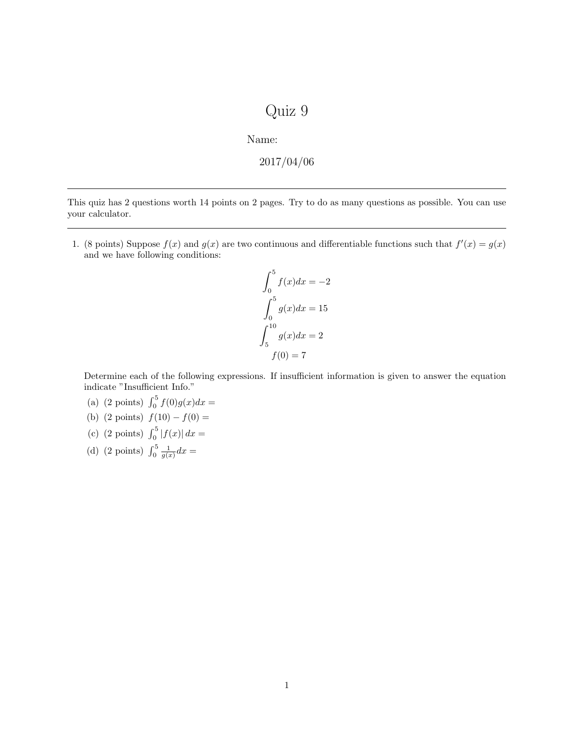## Quiz 9

Name:

$$
2017/04/06
$$

This quiz has 2 questions worth 14 points on 2 pages. Try to do as many questions as possible. You can use your calculator.

1. (8 points) Suppose  $f(x)$  and  $g(x)$  are two continuous and differentiable functions such that  $f'(x) = g(x)$ and we have following conditions:

$$
\int_0^5 f(x)dx = -2
$$

$$
\int_0^5 g(x)dx = 15
$$

$$
\int_5^{10} g(x)dx = 2
$$

$$
f(0) = 7
$$

Determine each of the following expressions. If insufficient information is given to answer the equation indicate "Insufficient Info."

- (a) (2 points)  $\int_0^5 f(0)g(x)dx =$
- (b) (2 points)  $f(10) f(0) =$
- (c) (2 points)  $\int_0^5 |f(x)| dx =$
- (d) (2 points)  $\int_0^5 \frac{1}{g(x)} dx =$